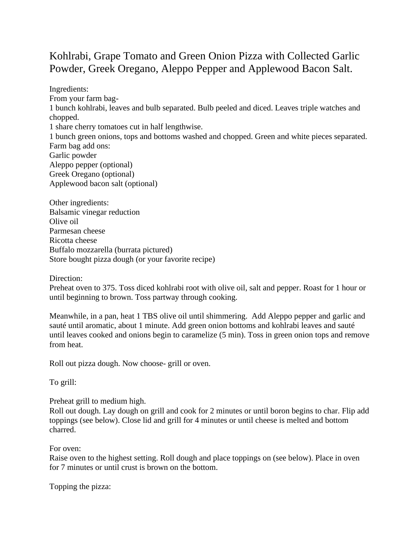## Kohlrabi, Grape Tomato and Green Onion Pizza with Collected Garlic Powder, Greek Oregano, Aleppo Pepper and Applewood Bacon Salt.

Ingredients: From your farm bag-1 bunch kohlrabi, leaves and bulb separated. Bulb peeled and diced. Leaves triple watches and chopped. 1 share cherry tomatoes cut in half lengthwise. 1 bunch green onions, tops and bottoms washed and chopped. Green and white pieces separated. Farm bag add ons: Garlic powder Aleppo pepper (optional) Greek Oregano (optional) Applewood bacon salt (optional)

Other ingredients: Balsamic vinegar reduction Olive oil Parmesan cheese Ricotta cheese Buffalo mozzarella (burrata pictured) Store bought pizza dough (or your favorite recipe)

Direction:

Preheat oven to 375. Toss diced kohlrabi root with olive oil, salt and pepper. Roast for 1 hour or until beginning to brown. Toss partway through cooking.

Meanwhile, in a pan, heat 1 TBS olive oil until shimmering. Add Aleppo pepper and garlic and sauté until aromatic, about 1 minute. Add green onion bottoms and kohlrabi leaves and sauté until leaves cooked and onions begin to caramelize (5 min). Toss in green onion tops and remove from heat.

Roll out pizza dough. Now choose- grill or oven.

To grill:

Preheat grill to medium high.

Roll out dough. Lay dough on grill and cook for 2 minutes or until boron begins to char. Flip add toppings (see below). Close lid and grill for 4 minutes or until cheese is melted and bottom charred.

For oven:

Raise oven to the highest setting. Roll dough and place toppings on (see below). Place in oven for 7 minutes or until crust is brown on the bottom.

Topping the pizza: